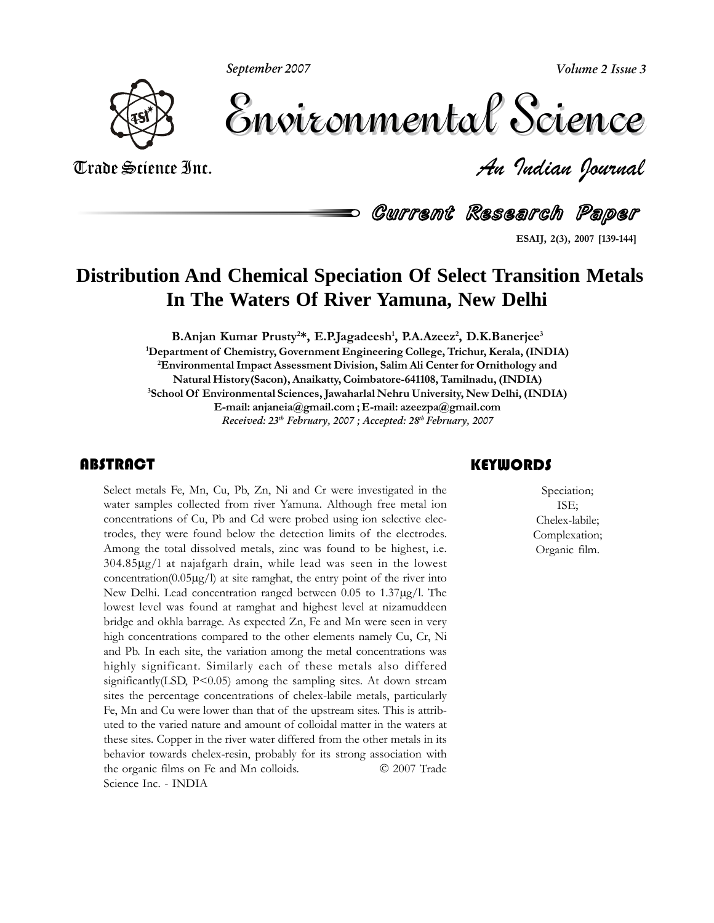**September 2007**

**Volume 2 Issue 3**



Volume 2 Issue 3 Trade Science Inc. *An Indian Journal* Volume 2 Issue 3

**ESAIJ,**Current Research Paper

**2(3), <sup>2007</sup> [139-144]**

## **Distribution And Chemical Speciation Of Select Transition Metals In The Waters Of River Yamuna, New Delhi**

B.Anjan Kumar Prusty<sup>2\*</sup>, E.P.Jagadeesh<sup>1</sup>, P.A.Azeez<sup>2</sup>, D.K.Banerjee<sup>3</sup><br>Department of Chemistry. Government Engineering College. Trichur. Kerala. (INDIA)<sup>1</sup> **2EnvironmentalImpact Assessment Division, Salim Ali Center for Ornithology and Natural History(Sacon), Anaikatty, Coimbatore-641108, Tamilnadu, (INDIA) 3**<br>**3**<br>**3**<br>School Of Environmental Sciences, Jawaharlal Nehru University, New Delhi, (INDIA) **E-mail: anjaneia@gmail.com ; E-mail: azeezpa@gmail.com Received: 23 th February, 2007 ; Accepted: 28 th February, 2007**

#### **ABSTRACT**

Select metals Fe, Mn, Cu, Pb, Zn, Ni and Cr were investigated in the water samples collected from river Yamuna. Although free metal ion concentrations of Cu, Pb and Cd were probed using ion selective elecmetals Fe, Mn, Cu, Pb, Zn, Ni and Cr were investigated in the<br>samples collected from river Yamuna. Although free metal ion water samples collected from river Yamuna. Although free metal ion<br>concentrations of Cu. Pb and Cd were probed using ion selective electhe concentrations of Cu, Pb and Cd were probed using ion selective electrodes, they were found below the detection limits of the electrodes. trodes, they were found below the detection limits of the electrodes. Among the total dissolved metals, zinc was found to be highest, i.e.  $304.85\mu g/l$  at najafgarh drain, while lead was seen in the lowest<br>concentration( $0.05\mu g/l$ ) at site ramghat, the entry point of the river into<br>New Delhi. Lead concentration ranged between 0.05 to 1.37 $\mu g/l$ . The New Delhi. Lead concentration ranged between  $0.05$  to  $1.37\mu g/l$ . The lowest level was found at ramghat and highest level at nizamuddeen bridge and okhla barrage. As expected Zn, Fe and Mn were seen in very<br>bridge and okhla barrage. As expected Zn, Fe and Mn were seen in very bridge and okhla barrage. As expected Zn, Fe and Mn were seen in very<br>high concentrations compared to the other elements namely Cu, Cr, Ni high concentrations compared to the other elements namely Cu, Cr, Ni and Pb. In each site, the variation among the metal concentrations was highly significant. Similarly each of these metals also differed<br>significantly(LSD, P<0.05) among the sampling sites. At down stream  $\frac{1}{2}$  significantly(LSD, P<0.05) among the sampling sites. At down stream<br>sites the percentage concentrations of chelex-labile metals, particularly Fe, Mn and Cu were lower than that of the upstream sites. This is attrib-<br>Fe. Mn and Cu were lower than that of the upstream sites. This is attrib-Fe, Mn and Cu were lower than that of the upstream sites. This is attribthese sites. Copper in the river water differed from the other metals in its these sites. Copper in the river water differed from the other metals in its these sites. Copper in the river water differed from the other metals in its<br>behavior towards chelex-resin, probably for its strong association with<br>the organic films on Fe and Mn colloids.  $\odot$  2007 Trade behavior towards chelex-resin, probably for its strong association with the organic films on Fe and Mn colloids.<br>Science Inc. - INDIA

#### Speciation;

Speciation;<br>ISE;<br>Chelex-labile; Speciation; ISE; Chelex-labile; Complexation;<br>Organic film.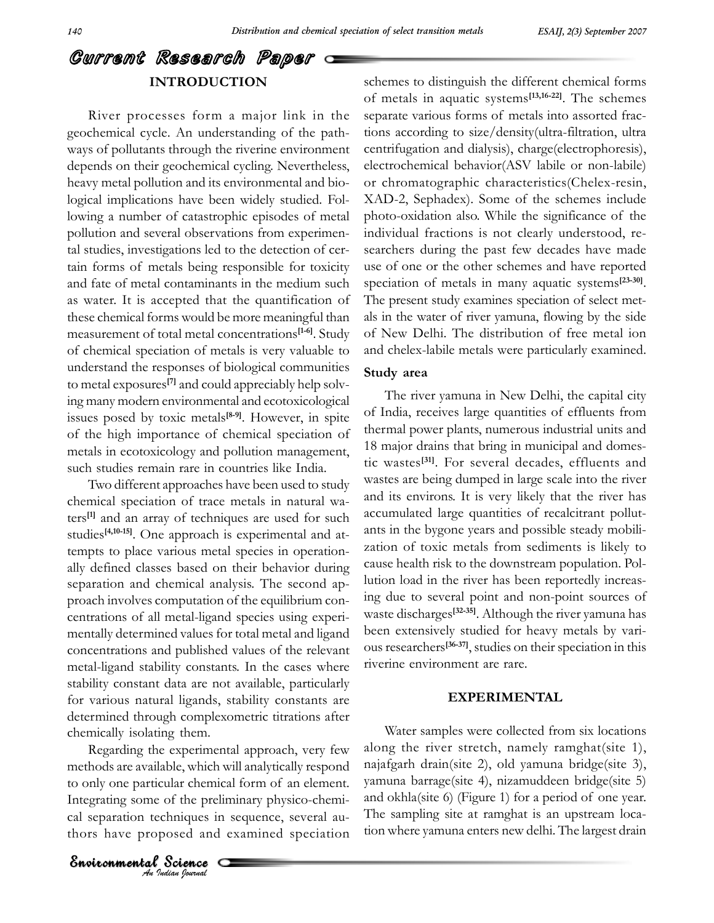schemes

# .<br>Current Research Paper <del>- I</del>

of m<br>
River processes form a major link in the separ<br>
geochemical cycle. An understanding of the path-<br>
tions geochemical cycle. An understanding of the pathways of pollutants through the riverine environment corrected cycling. Nevertheless, elected as  $\frac{1}{2}$  corrected cycling. Nevertheless, elected as  $\frac{1}{2}$  corrected cycling. Nevertheless, elected as  $\frac{1}{2}$  correcte depends on their geochemical cycling. Nevertheless, heavy metal pollution and its environmental and bio-<br>logical implications have been widely studied. Follogical implications have been widely studied. Fol-<br>lowing a number of catastrophic episodes of metal pl pollution and several observations from experimen-<br>pollution and several observations from experimenpollution and several observations from experimental studies, investigations led to the detection of certal studies, investigations led to the detection of cer-<br>tain forms of metals being responsible for toxicity use of tain forms of metals being responsible for toxicity use of and fate of metal contaminants in the medium such speciat and fate of metal contaminants in the medium such speed<br>as water. It is accepted that the quantification of The as water. It is accepted that the quantification of The profilese chemical forms would be more meaningful than als in the these chemical forms would be more meaningful than als in<br>measurement of total metal concentrations<sup>[1-6]</sup>. Study of N measurement of total metal concentrations<sup>[1-6]</sup>. Study of Nev<br>of chemical speciation of metals is very valuable to and ch of chemical speciation of metals is very valuable to and understand the responses of biological communities understand the responses<br>to metal exposures<sup>[7]</sup> and  $\alpha$ **[7]** $\sum_{n=1}^{\infty}$  and could appreciably help solvto metal exposures<sup>[7]</sup> and could appreciably help solving many modern environmental and ecotoxicological ing many modern environmental and ecotoxicological<br>issues posed by toxic metals<sup>[8-9]</sup>. However, in spite <sup>of In</sup> issues posed by toxic metals<sup>[8-9]</sup>. However, in spite of  $I$ <br>of the high importance of chemical speciation of then of the high importance of chemical speciation of  $\frac{t}{t}$ <br>metals in ecotoxicology and pollution management, metals in ecotoxicology and pollution management, such studies remain rare in countries like India.

Two different approaches have been used to study<br>chemical speciation of trace metals in natural wa-۔<br>chem ters<sup>[1]</sup> and an array of techniques are used for such  $\arccos$ <br>studies<sup>[4,10-15]</sup>. One approach is experimental and atcal speciation of trace metals in natural wa-<br>and an array of techniques are used for such accumu studies<sup>[4,10-15]</sup>. One approach is experimental and attempts to place various metal species in operationtempts to place various metal species in operationseparation and chemical analysis. The second apseparation and chemical analysis. The second approach involves computation of the equilibrium concentrations of all metal-ligand species using expericoncentrations of an including and opposed doing experimentally determined values for total metal and ligand bed<br>concentrations and published values of the relevant metal-ligand stability constants. In the cases where tiven<br>metal-ligand stability constants. In the cases where tiveri stability constants. In the cases where riveristability constant data are not available, particularly for various natural ligands, stability constants are not available, particularly<br>for various natural ligands, stability constants are determined through complexometric titrations after<br>determined through complexometric titrations after chemically isolating them.<br>Chemically isolating them.

*Andreas are availance, which will analy being years of the original physico-chemi-* called the preliminary physico-chemi-*Indian Indian Indian Postance*<br> *<i>An Indian Pournal* environmental regional chemical form of an element. Integrational chemical form of an element. ble, which will<br>ular chemical f<br>of the prelimir<br>chiniques in sec<br>oosed and exa<br>**Science** Water<br>
chemically isolating them.<br>
Regarding the experimental approach, very few along the<br>
methods are available, which will analytically respond najafgarh grating some of the preliminary physico-chemi-<br>separation techniques in sequence, several aucal separation techniques in sequence, several au-<br>thors have proposed and examined speciation tion wh

schemes to distinguish the different chemical forms<br>of metals in aquatic systems<sup>[13,16-22]</sup>. The schemes of metals in aquatic systems<sup>[13,16-22]</sup>. The schemes<br>separate various forms of metals into assorted fracseparate various forms of metals into assorted frac-<br>tions according to size/density(ultra-filtration, ultra centrifugation and dialysis), charge(electrophoresis), charge(electrophoresis), centrifugation and dialysis), charge(electrophoresis), or chromatographic characteristics(Chelex-resin,<br>or chromatographic characteristics(Chelex-resin, or chromatographic characteristics(Chelex-resin,  $XAD-2$ , Sephadex). Some of the schemes include<br>photo-oxidation also. While the significance of the  $\frac{1}{2}$  photo-oxidation also. While the significance of the individual fractions is not clearly understood, reindividual fractions is not clearly understood, researchers during the past few decades have made<br>use of one or the other schemes and have reported  $\frac{1}{2}$  of one or the other schemes and have reported<br>speciation of metals in many aquatic systems<sup>[23-30]</sup>. speciation of metals in many aquatic systems<sup>[23-30]</sup>.<br>The present study examines speciation of select met-The present study examines speciation of select metals in the water of river yamuna, flowing by the side<br>of New Delhi. The distribution of free metal ion of New Delhi. The distribution of free metal ion of New Delhi. The distribution of free metal ion<br>and chelex-labile metals were particularly examined. **area**

#### Study area

rea<br>river vamuna in New Delhi, the capital city The river yamuna in New Delhi, the capital city<br>India, receives large quantities of effluents from of India, receives large quantities of effluents from<br>thermal power plants, numerous industrial units and thermal power plants, numerous industrial units and<br>18 major drains that bring in municipal and domes-18 major drains that bring in municipal and domes-<br>tic wastes<sup>[31]</sup>. For several decades, effluents and tic wastes  $s^{[31]}$ . For several decades, effluents and wastes are being dumped in large scale into the river wastes are being dumped in large scale into the river<br>and its environs. It is very likely that the river has and its environs. It is very likely that the river has<br>accumulated large quantities of recalcitrant pollutaccumulated large quantities of recalcitrant pollutants in the bygone years and possible steady mobiliextion of toxic metals from sediments is likely to<br>cause health risk to the downstream population. Polcause health risk to the downstream population. Pol-<br>lution load in the river has been reportedly increas-Internal point and properties the several point and non-point sources of ing due to several point and non-point sources of<br>waste discharges<sup>[32-35]</sup>. Although the river yamuna has waste discharges<sup>[32-35]</sup>. Although the river yamuna has been extensively studied for heavy metals by variresearchers<sup>[36-37]</sup>, studied for heavy metals by vari-<br>researchers<sup>[36-37]</sup>, studies on their speciation in this ous researchers<sup>[36-37]</sup>, studies on their

Water samples were collected from six locations<br>along the river stretch, namely ramghat(site 1), along the river stretch, namely ramghat(site 1), najafgarh drain(site 2), old yamuna bridge(site 3),  $\frac{1}{2}$  and okhla(site 6) (Figure 1) for a period of one year. and okhla(site 6) (Figure 1) for a period of one year. The sampling site at ramghat is an upstream location where vamuna enters new delhi. The largest drain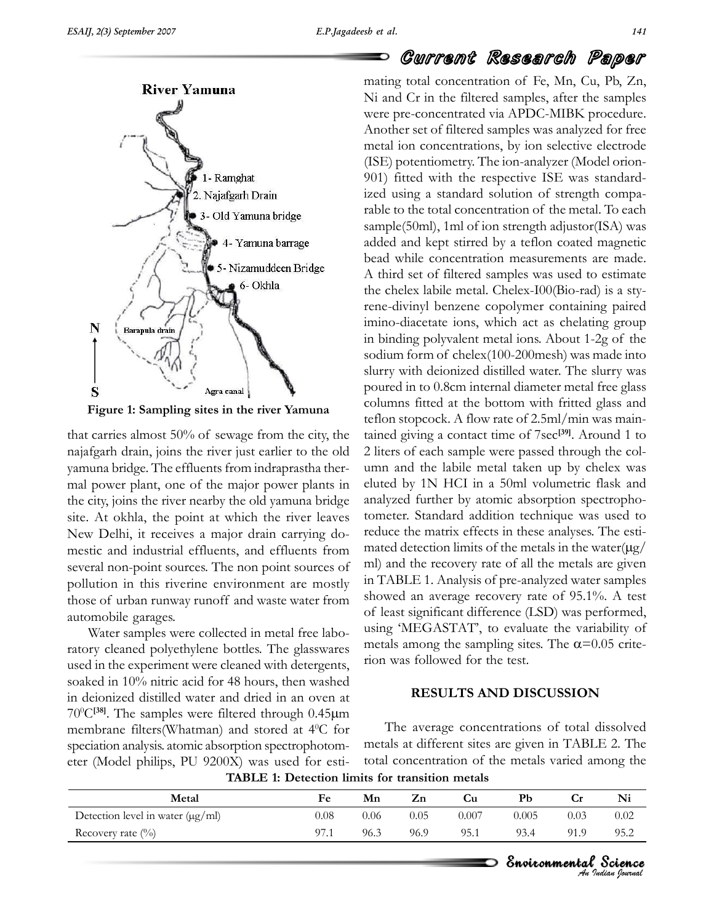that



Figure 1: Sampling sites in the river Yamuna<br>teflon sthat carries almost 50% of sewage from the city, the tained<br>najafgarh drain, joins the river just earlier to the old 2 liters er the effluents and the effluents from indraprastha ther-<br>vamuna bridge. The effluents from indraprastha theryamuna bridge. The effluents from indraprastha therthe city, joint all the city and power plant, one of the major power plants in eluted<br>the city, joins the river nearby the old yamuna bridge analy site. At okhla, the point at which the river leaves tomether. end engineering the complement and strage<br>site. At okhla, the point at which the river leaves ton<br>New Delhi, it receives a major drain carrying do-New Delhi, it receives a major drain carrying dosexeral non-point sources. The non point sources of mall several non-point sources. The non point sources of ml) a<br>pollution in this riverine environment are mostly in TA pollution in this riverine environment are mostly<br>those of urban runway runoff and waste water from showed an paration in the averal<br>those of urban runway r<br>automobile garages. samples were collected in metal free labo-<br>Water samples were collected in metal free labo-

ter samples were collected in metal free labo-<br>cleaned polyethylene bottles. The glasswares where simples were estimated in the media the experiment were cleaned with detergents. in the experiment were cleaned with detergents, then was followed for the test. soaked in 10% nitric acid for 48 hours, then washed<br>in deionized distilled water and dried in an oven at <sup>50</sup> ancal<br>in deior membrane filters(Whatman) and stored at  $4^{\circ}$ C for T<br>membrane filters(Whatman) and stored at  $4^{\circ}$ C for T  $T_{\text{N}}$  and the samples were filtered through 0.45 $\mu$  and the samples were filtered through 0.45 $\mu$ m membrane filters (Whatman) and stored at  $4^{\circ}$ C for speciation analysis. atomic absorption spectrophotomspeciation analysis. atomic absorption spectrophotometer (Model philips, PU 9200X) was used for esti-

## **Current Research Paper**<br>mating total concentration of Fe, Mn, Cu, Pb, Zn,  $\blacksquare$

mating total concentration of Fe, Mn, Cu, Pb, Zn, mating tour concentration of Te, mi, Ca, Tb, 2n,<br>Ni and Cr in the filtered samples, after the samples<br>were pre-concentrated via APDC-MIBK procedure. were pre-concentrated via APDC-MIBK procedure. metal ion concentrations, by ion selective electrode (ISE) potentiometry. The ion-analyzer (Model orion-<br>(ISE) potentiometry. The ion-analyzer (Model orion-(ISE) potentiometry. The ion-analyzer (Model orion-(i.e.d.) potentionedly. The formal analyzer (inoder ofform<br>901) fitted with the respective ISE was standard-<br>ized using a standard solution of strength compaized using a standard solution of strength compasample to the total concentration of the metal. To each<br>sample(50ml), 1ml of ion strength adjustor(ISA) was rance to the total concentration of the mean. To cated<br>sample(50ml), 1ml of ion strength adjustor(ISA) was<br>added and kept stirred by a teflon coated magnetic bead and kept stirred by a teflon coated magnetic<br>bead while concentration measurements are made. bead while concentration measurements are made. the chelex labile metal. Chelex-I00(Bio-rad) is a stythe chelex labile metal. Chelex-I00(Bio-rad) is a sty-Figure in the mean sheet receptor and to the act as chelating paired<br>imino-diacetate ions, which act as chelating group France diviny behavior experiment containing paircu<br>imino-diacetate ions, which act as chelating group<br>in binding polyvalent metal ions. About 1-2g of the solid in binding polyvalent metal ions. About 1-2g of the sodium form of chelex(100-200mesh) was made into  $\frac{1}{2}$  solum form of chelex $(100-200$  mesh) was made into<br>slurry with deionized distilled water. The slurry was sociality for the check of the check of the share metal<br>slurry with deionized distilled water. The slurry was<br>poured in to 0.8cm internal diameter metal free glass poured in to 0.8cm internal diameter metal free glass<br>columns fitted at the bottom with fritted glass and from the stock method columns fitted at the bottom with fritted glass and teflon stopcock. A flow rate of 2.5ml/min was mainteflon stopcock. A flow rate of 2.5ml/min was main-<br>tained giving a contact time of 7sec<sup>[39]</sup>. Around 1 to tained giving a contact time of  $7\text{sec}^{[39]}$ . Around 1 to 2 liters of each sample were passed through the col-2 liters of each sample were passed through the col- $\Xi$  here of each sample were passed amodgli are contained the labile metal taken up by chelex was eluted by 1N HCI in a 50ml volumetric flask and and and the fibre mean taken up by energy where<br>eluted by 1N HCI in a 50ml volumetric flask and<br>analyzed further by atomic absorption spectrophoetated by 11 Trot in a bonn volumetric mass and<br>analyzed further by atomic absorption spectropho-<br>tometer. Standard addition technique was used to reduce the matrix effects in these analyses. The esti-<br>reduce the matrix effects in these analyses. The estireduce the matrix effects in these analyses. The estimated detection limits of the metals in the water $(\mu g/m)$ <br>ml) and the recovery rate of all the metals are given in TABLE 1. Analysis of pre-analyzed water samples<br>in TABLE 1. Analysis of pre-analyzed water samples showed an average recovery rate of an arc metals are given<br>showed an average recovery rate of 95.1%. A test of least significant difference (LSD) was performed. of least significant difference (LSD) was performed,  $rac{1}{\sqrt{2}}$ of least significant difference (LSD) was performed,<br>using 'MEGASTAT', to evaluate the variability of<br>metals among the sampling sites. The  $\alpha$ =0.05 critemetals among the sampling sites. The  $\alpha$ =0.05 crite-

#### **RESULTS AND DISCUSSION**

total concentration of the metals varied among the average concentrations of total dissolved metals at different sites are given in TABLE 2. The metals at different sites are given in TABLE 2. The total concentration of the metals varied among the **1: Detection limits for transition metals**

| Metal                                 | Fe   | Mn   | Zn   | Cu    | Pb    | <b>Cr</b> | Ni   |
|---------------------------------------|------|------|------|-------|-------|-----------|------|
| Detection level in water $(\mu g/ml)$ | 0.08 | 0.06 | 0.05 | 0.007 | 0.005 | 0.03      | 0.02 |
| Recovery rate $(\%$                   | 97.1 | 96.3 | 96.9 | 95.1  | 93.4  | 91.9      | 95.2 |

# *Indian Journal*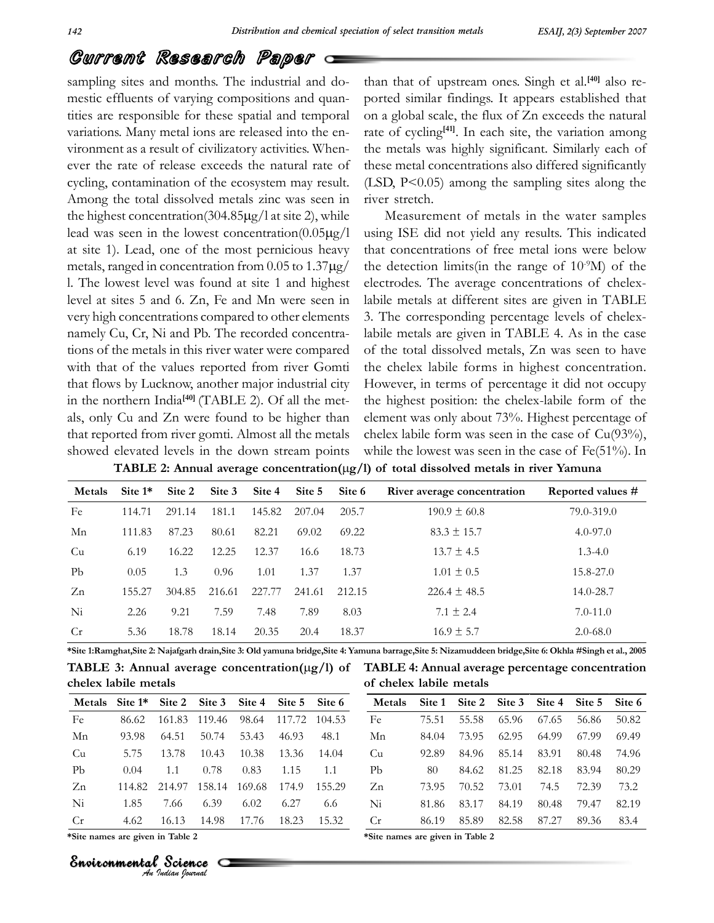than

## Current Research Paper *Gurrent Kesearch Paper*  $\epsilon$  and months. The industrial and do- that

effluents of varying compositions and do-<br>effluents of varying compositions and quan- $\frac{1}{1}$  is  $\frac{1}{2}$  mestic effluents of varying compositions and quantities are responsible for these spatial and temporal or variations. Many metal ions are released into the en-<br>variations. Many metal ions are released into the envariations. Many metal ions are released into the environment as a result of civilizatory activities. Whenever the rate of release exceeds the natural rate of the ecosystem may result. (I the total dissolved metals zinc was seen in tiver st<br>highest concentration(304.85 $\mu$ g/l at site 2), while Among the total dissolved metals zinc was seen in<br>the highest concentration(304.85 $\mu$ g/l at site 2), while<br>lead was seen in the lowest concentration(0.05 $\mu$ g/l the highest concentration  $(304.85 \mu g/l$  at site 2), while lead was seen in the lowest concentration $(0.05\mu g/l$  using<br>at site 1). Lead, one of the most pernicious heavy that  $\frac{1}{100}$  of  $\frac{1}{100}$ ranged in the lowest concentration  $(0.05 \mu g/l$  using 1<br>a). Lead, one of the most pernicious heavy that coranged in concentration from 0.05 to 1.37 $\mu$ e/ the de metals, ranged in concentration from  $0.05$  to  $1.37 \mu$ g/ the<br>l. The lowest level was found at site 1 and highest ele l. The lowest level was found at site 1 and highest electron-<br>level at sites 5 and 6. Zn, Fe and Mn were seen in labile r level at sites 5 and 6. Zn, Fe and Mn were seen in labil<br>very high concentrations compared to other elements 3. T very high concentrations compared to other elements<br>namely Cu, Cr, Ni and Pb. The recorded concentramamely Cu, Cr, Ni and Pb. The recorded concentra-<br>tions of the metals in this river water were compared of the tions of the metals in this river water were compared of<br>with that of the values reported from river Gomti th with that of the values reported from river Gomti the c<br>that flows by Lucknow, another major industrial city How that flows by Lucknow, another<br>in the northern India<sup>[40]</sup> (TAI **[40]**that flows by Lucknow, another major industrial city<br>in the northern India<sup>[40]</sup> (TABLE 2). Of all the metin the northern India<sup>[40]</sup> (TABLE 2). Of all the metals, only Cu and Zn were found to be higher than elementary charge that reported from river gomti. Almost all the metals chell that reported from river gomti. Almost all the metals<br>showed elevated levels in the down stream points while showed elevated levels in the down stream points

than that of upstream ones. Singh et al.<sup>[40]</sup> also reat of upstream ones. Singh et al.<sup>[40]</sup> also re-<br>similar findings. It appears established that on a global scale, the flux of Zn exceeds the natural<br>on a global scale, the flux of Zn exceeds the natural on a global scale, the flux of Zn exceeds the natural<br>rate of cycling<sup>[41]</sup>. In each site, the variation among the metals was highly significant. Similarly each of the metals was highly significant. Similarly each of these metal concentrations also differed significantly these metal concentrations also differed significantly<br>(LSD, P<0.05) among the sampling sites along the (LSD,  $P < 0.05$ ) and the stretch.

river stretch.<br>
Measurement of metals in the water samples<br>
using ISE did not yield any results. This indicated using ISE did not yield any results. This indicated<br>that concentrations of free metal ions were below that concentrations of free metal ions were below<br>the detection limits(in the range of  $10^9$ M) of the the detection limits (in the range of  $10^{\degree}$ M) of the electrodes. The average concentrations of chelexelectrodes. The average concentrations of chelex-<br>labile metals at different sites are given in TABLE 2. The corresponding percentage levels of chelex-<br>3. The corresponding percentage levels of chelex-3. The corresponding percentage levels of chelex-<br>labile metals are given in TABLE 4. As in the case abile metals are given in TABLE 4. As in the case<br>of the total dissolved metals. Zn was seen to have of the total dissolved metals, Zn was seen to have<br>the chelex labile forms in highest concentration. the chelex labile forms in highest concentration. However, in terms of percentage it did not occupy<br>the highest position: the chelex-labile form of the the highest position: the chelex-labile form of the<br>element was only about 73%. Highest percentage of element was only about 73%. Highest percentage of chelex labile form was seen in the case of  $Cu(93%)$ . chelex labile form was seen in the case of  $Cu(93%)$ , while the lowest was seen in the case of Fe(51%). In **2: Annual average concentration**( $\mu$ g/l) of total dissolved metals in the case of Cu(93%), levels in the down stream points while the lowest was seen in the case of Fe(51%). In 2: **Annual average concentration**( $\mu$ g/l

| TADLE 2: Annual average concentration(ug/1) of total dissolved metals in river famuna |           |        |        |        |                             |        |                             |                   |  |  |
|---------------------------------------------------------------------------------------|-----------|--------|--------|--------|-----------------------------|--------|-----------------------------|-------------------|--|--|
| <b>Metals</b>                                                                         | Site $1*$ |        |        |        | Site 2 Site 3 Site 4 Site 5 | Site 6 | River average concentration | Reported values # |  |  |
| Fe                                                                                    | 114.71    | 291.14 | 181.1  | 145.82 | 207.04                      | 205.7  | $190.9 \pm 60.8$            | 79.0-319.0        |  |  |
| Mn                                                                                    | 111.83    | 87.23  | 80.61  | 82.21  | 69.02                       | 69.22  | $83.3 \pm 15.7$             | $4.0 - 97.0$      |  |  |
| Cu                                                                                    | 6.19      | 16.22  | 12.25  | 12.37  | 16.6                        | 18.73  | $13.7 \pm 4.5$              | $1.3 - 4.0$       |  |  |
| Pb                                                                                    | 0.05      | 1.3    | 0.96   | 1.01   | 1.37                        | 1.37   | $1.01 \pm 0.5$              | 15.8-27.0         |  |  |
| Z <sub>n</sub>                                                                        | 155.27    | 304.85 | 216.61 | 227.77 | 241.61                      | 212.15 | $226.4 \pm 48.5$            | 14.0-28.7         |  |  |
| Ni                                                                                    | 2.26      | 9.21   | 7.59   | 7.48   | 7.89                        | 8.03   | $7.1 \pm 2.4$               | $7.0 - 11.0$      |  |  |
| Cr                                                                                    | 5.36      | 18.78  | 18.14  | 20.35  | 20.4                        | 18.37  | $16.9 \pm 5.7$              | $2.0 - 68.0$      |  |  |

chelex labile metals \*Site 1:Ran 5.36 18.78 18.14 20.35 20.4 18.37<br>**ghat,Site 2: Najafgarh drain,Site 3: Old yamuna bridge,Site 4: Yamuna<br><b>3: Annual average concentration(**LLP / 1) of TA **chelex labile metals** of chelex labile metals 3.50 16.76 16.14 20.55 20.4 16.77 16.9 16.9 16.9 2.0-06.0<br>1:Ramghat,Site 2: Najafgarh drain,Site 3: Old yamuna bridge,Site 4: Yamuna barrage,Site 5: Nizamuddeen bridge,Site 6: Okhla #Singh et al., 2005<br>3LE 3: Annual avera **of chelex labile metals**

| chelex labile metals             |           |        |               |        |        | of chelex labile metals          |        |        |        |        |        |        |        |
|----------------------------------|-----------|--------|---------------|--------|--------|----------------------------------|--------|--------|--------|--------|--------|--------|--------|
| <b>Metals</b>                    | Site $1*$ |        | Site 2 Site 3 | Site 4 | Site 5 | Site 6                           | Metals | Site 1 | Site 2 | Site 3 | Site 4 | Site 5 | Site 6 |
| Fe                               | 86.62     | 161.83 | 119.46        | 98.64  | 117.72 | 104.53                           | Fe     | 75.51  | 55.58  | 65.96  | 67.65  | 56.86  | 50.82  |
| Mn                               | 93.98     | 64.51  | 50.74         | 53.43  | 46.93  | 48.1                             | Mn     | 84.04  | 73.95  | 62.95  | 64.99  | 67.99  | 69.49  |
| Cu                               | 5.75      | 13.78  | 10.43         | 10.38  | 13.36  | 14.04                            | Cu     | 92.89  | 84.96  | 85.14  | 83.91  | 80.48  | 74.96  |
| Pb                               | 0.04      | 1.1    | 0.78          | 0.83   | 1.15   | 1.1                              | Pb     | 80     | 84.62  | 81.25  | 82.18  | 83.94  | 80.29  |
| Zn                               | 114.82    | 214.97 | 158.14        | 169.68 | 174.9  | 155.29                           | Zn     | 73.95  | 70.52  | 73.01  | 74.5   | 72.39  | 73.2   |
| Ni                               | 1.85      | 7.66   | 6.39          | 6.02   | 6.27   | 6.6                              | Ni     | 81.86  | 83.17  | 84.19  | 80.48  | 79.47  | 82.19  |
| Cr                               | 4.62      | 16.13  | 14.98         | 17.76  | 18.23  | 15.32                            | Cr     | 86.19  | 85.89  | 82.58  | 87.27  | 89.36  | 83.4   |
| *Site names are given in Table 2 |           |        |               |        |        | *Site names are given in Table 2 |        |        |        |        |        |        |        |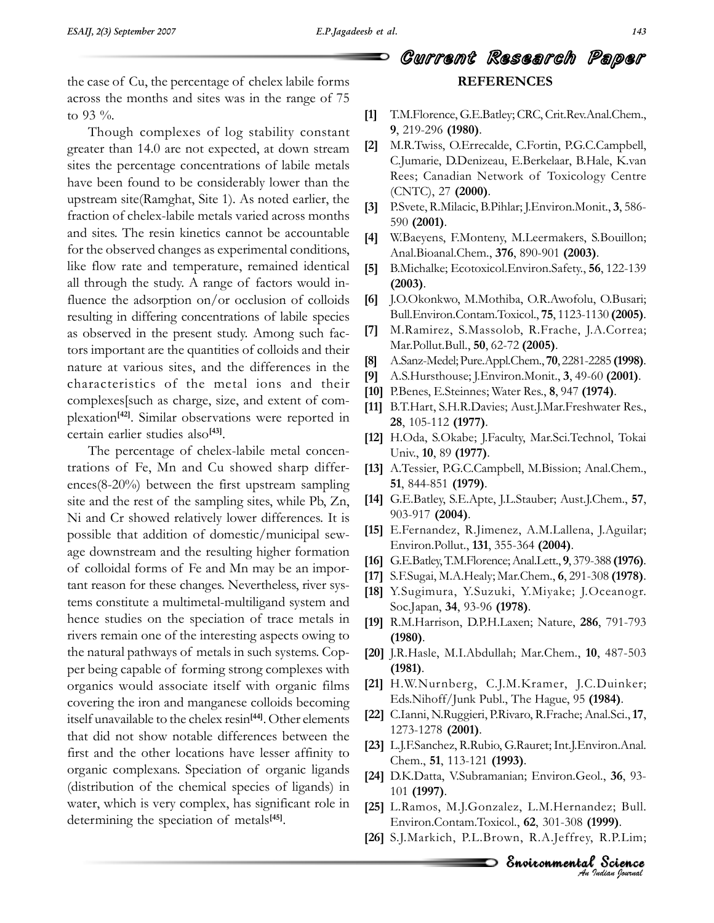case of Cu, the percentage of chelex labile forms<br>across the months and sites was in the range of 75  $\frac{1}{100}$  across the mo

to 93 %.<br>
Though complexes of log stability constant 9, 219-2<br>
greater than 14.0 are not expected, at down stream [2] M.R.Tw greater than 14.0 are not expected, at down stream [2] sites the percentage concentrations of labile metals have been found to be considerably lower than the<br>upstream site(Ramghat, Site 1). As noted earlier, the upstream site (Ramghat, Site 1). As noted earlier, the  $\begin{bmatrix} 3 \end{bmatrix}$  $\begin{bmatrix} 3 & 3 \end{bmatrix}$ <br>fraction of chelex-labile metals varied across months and sites. The resin kinetics cannot be accountable [4]<br>for the observed changes as experimental conditions, for the observed changes as experimental conditions,<br>like flow rate and temperature, remained identical [5] like flow rate and temperature, remained identical [5]<br>all through the study. A range of factors would inall through the study. A range of factors would influence the adsorption on/or occlusion of colloids [6]<br>resulting in differing concentrations of labile species resulting in differing concentrations of labile species<br>as observed in the present study. Among such facas observed in the present study. Among such fac-<br>tors important are the quantities of colloids and their  $\frac{1}{100}$  tors important are the quantities of colloids and their<br>nature at various sites, and the differences in the external characteristics of the metal ions and their  $\begin{bmatrix} 10 \\ 20 \\ 10 \end{bmatrix}$  characteristics of the metal ions and their  $\begin{bmatrix} 10 \\ 10 \end{bmatrix}$  complexes such as charge, size, and extent of complexation<sup>[42]</sup>. Similar observations v<br>certain earlier studies also<sup>[43]</sup>.  $\begin{bmatrix} 10 & 12 \\ 21 & 12 \end{bmatrix}$ . Similar observations were reported in certain earlier studies also<sup>[43]</sup>.

r<br>
extrain earlier studies also<sup>[43]</sup>. [12]<br>
The percentage of chelex-labile metal concentrations of Fe. Mn and Cu showed sharp differ-The percentage of chelex-labile metal concen-<br>trations of Fe, Mn and Cu showed sharp differ-<br>ences(8-20%) between the first upstream sampling 51, 844-851 (1979). ences(8-20%) between the first upstream sampling<br>site and the rest of the sampling sites, while Pb, Zn, [1] site and the rest of the sampling sites, while  $Pb$ ,  $Zn$ , Ni and Cr showed relatively lower differences. It is<br>possible that addition of domestic/municipal sew-  $[15]$ possible that addition of domestic/municipal sew-<br>Environ.Pollut., 131, 355-364 (2004). age downstream and the resulting higher formation<br>of colloidal forms of Fe and Mn may be an imporof colloidal forms of Fe and Mn may be an important reason for these changes. Nevertheless, river systant reason for these changes. Nevertheless, river sys-<br>tems constitute a multimetal-multiligand system and tems constitute a multimetal-multiligand system and<br>hence studies on the speciation of trace metals in hence studies on the speciation of trace metals in [19] R.<br>rivers remain one of the interesting aspects owing to the natural pathways of metals in such systems. Cop-<br>the natural pathways of metals in such systems. Copthe natural pathways of metals in such systems. Coporganics would associate itself with organic films [21] covering the iron and manganese colloids becoming  $[21]$  E<br>covering the iron and manganese colloids becoming Exercise the iron and manganese colloids becoming<br>
itself unavailable to the chelex resin<sup>[44]</sup>. Other elements [22] tiself unavailable to the chelex resin<sup>[44]</sup>. Other elements [22] that did not show notable differences between the that did not show notable differences between the  $\begin{bmatrix} 12 \\ 23 \end{bmatrix}$  L. First and the other locations have lesser affinity to<br>organic complexans. Speciation of organic ligands organic complexans. Speciation of organic ligands [24] D.<br>(distribution of the chemical species of ligands) in (distribution of the chemical species of ligands) in  $\frac{1}{10}$ <br>water, which is very complex, has significant role in  $\frac{1}{10}$ water, which is very complex, has significan<br>determining the speciation of metals<sup>[45]</sup>.

## Current Research Paper **REFERENCESREFERENCES**

- T.M.Florence, G.E.Batley; CRC, Crit.Rev.Anal.Chem., **<sup>9</sup>**, 219-296 **(1980)**. **[2]**9, 219-296 (1980).<br>M.R.Twiss, O.Errecalde, C.Fortin, P.G.C.Campbell,
- D.Denizeau, E.Berkelaar, B.Hale, K.van Rees; Canadian Network of Toxicology Centre (CNTC), <sup>27</sup> **(2000)**. **[3]**(CNTC), 27 **(2000)**.<br>P.Svete, R.Milacic, B.Pihlar; I.Environ.Monit., **3**, 586-
- **[3]** P.Svete, R.Milac<br>590 **(2001)**.
- W.Baeyens, F.Monteny, M.Leermakers, S.Bouillon; Anal.Bioanal.Chem., **<sup>376</sup>**, 890-901 **(2003)**. **[5]**B.Michalke; Ecotoxicol.Environ.Safety., **<sup>56</sup>**, 122-139 **(2003)**.
- $(2003)$ .
- J.O.Okonkwo, M.Mothiba, O.R.Awofolu, O.Busari; Bull.Environ.Contam.Toxicol., **<sup>75</sup>**, 1123-1130 **(2005)**. **[7]**Bull. Environ. Contam. Toxicol., 75, 1123-1130 (2005).
- Mar.Pollut.Bull., **<sup>50</sup>**, 62-72 **(2005)**. **[8]**Mar.Pollut.Bull., **50**, 62-72 **(2005)**.<br> **[8]** A.Sanz-Medel: Pure.Appl.Chem., **70**, 2281-2285 **(1998)**.
- A.S.Hursthouse; J.Environ.Monit., **<sup>3</sup>**, 49-60 **(2001)**. **[10]**
- **[8]** A.Sanz-Medel; Pure.Appl.Chem., **70**, 2281-2285 **(1998)**<br>**[9]** A.S.Hursthouse; J.Environ.Monit., **3**, 49-60 **(2001)**.
- [10] P.Benes, E.Steinnes; Water Res., 8, 947 (1974).
- [11] B.T.Hart, S.H.R.Davies; Aust.J.Mar.Freshwater Res., 28, 105-112 (1977).
- 28, 105-112 (1977).<br>
[12] H.Oda, S.Okabe; J.Faculty, Mar.Sci.Technol, Tokai<br>
Univ., 10, 89 (1977). Univ., **10**, 89 (**1977**).<br>A.Tessier, P.G.C.Campbell, M.Bission; Anal.Chem.,
- 844-851 **(1979)**. **[14]**51, 844-851 **(1979).**<br>51, 844-851 **(1979).**<br>G.E.Batley, S.E.Apte, I.L.Stauber: Aust.I.Chem., **57**,
- [14] G.E.Batley, S.E.Apte
- E.Fernandez, R.Jimenez, A.M.Lallena, J.Aguilar; Environ.Pollut., **<sup>131</sup>**, 355-364 **(2004)**. **[16]**Environ.Pollut., **131**, 355-364 **(2004)**.<br> **[16]** G.E.Batley, T.M.Florence: Anal.Lett., **9**, 379-388 **(1976**).
- 11 Bernard Branch, 123, 322 Correction, 2013<br> **[16]** G.E.Batley, T.M.Florence; Anal.Lett., 9, 379-388 **(1976)**.<br> **[17]** S.E.Sugai, M.A.Healy: Mar.Chem., **6**, 291-308 **(1978)**.
- [17] S.F.Sugai, M.A.Healy; Mar.Chem., 6, 291-308 (1978).
- **[18]** Y.Sugimura, Y.Suzuki, Y.Miyake; J.Oceanogr. Soc.Japan, 34, 93-96 (1978). R.M.Harrison, D.P.H.Laxen; Nature, **<sup>286</sup>**, 791-793 **(1980)**.
- **(1980)**. J.R.Hasle, M.I.Abdullah; Mar.Chem., **<sup>10</sup>**, 487-503 **(1981)**.
- **(1981)**.
- H.W.Nurnberg, C.J.M.Kramer, J.C.Duinker; Eds.Nihoff/Junk Publ., The Hague, <sup>95</sup> **(1984)**. **[22]**Eds.Nihoff/Junk Publ., The Hague, 95 (1984).
- [22] C.Ianni, N.Ruggieri, P.Rivaro, R.Frache; Anal.Sci., 17,<br>1273-1278 (2001). 1273-1278 (2001).<br>L.J.F.Sanchez, R.Rubio, G.Rauret; Int.J.Environ.Anal.
- *An*en., **51**, 113-121 (1993).<br>*A*K.Datta, V.Subramanian: Environ.Geol., **36**, 93-**523** L.J.F.Sanchez, R.Rubio, G.Rauret<br>Chem... **51**, 113-121 **(1993)**.
- ol., **36**, 93-<br>*I*dez; Bull.<br>**1999)**.<br>, R.P.Lim;<br>? Science ., 36, 93-<br>ez; Bull.<br>**99)**.<br>R.P.Lim;<br>**Science (1997)**.101 (1997). L.Ramos, M.J.Gonzalez, L.M.Hernandez; Bull. Environ.Contam.Toxicol.,
- **f 625** L.Ramos, M.J.Gonzalez, L.M.Hernandez; Bull Environ.Contam.Toxicol.. **62**, 301-308 **(1999)**. Environ.Contam.Toxicol., 62, 301-308 (1999).<br>[26] S.J.Markich, P.L.Brown, R.A.Jeffrey, R.P.Lim;
-